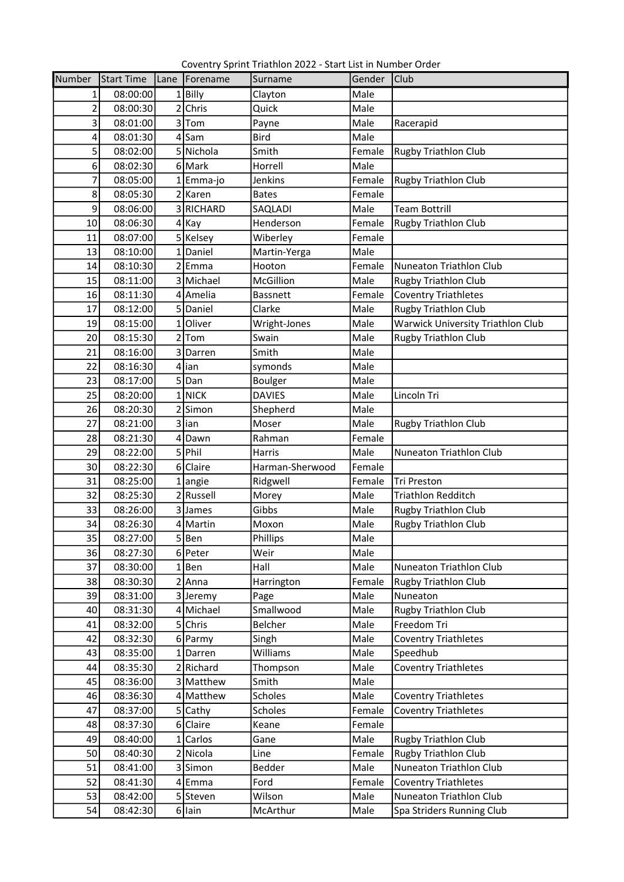Coventry Sprint Triathlon 2022 - Start List in Number Order

| Number         | Start Time | Lane   Forename   | Surname         | Gender | <b>Club</b>                       |
|----------------|------------|-------------------|-----------------|--------|-----------------------------------|
| 1              | 08:00:00   | $1$  Billy        | Clayton         | Male   |                                   |
| $\overline{2}$ | 08:00:30   | 2 Chris           | Quick           | Male   |                                   |
| 3              | 08:01:00   | 3Tom              | Payne           | Male   | Racerapid                         |
| 4              | 08:01:30   | $4$ Sam           | <b>Bird</b>     | Male   |                                   |
| $\overline{5}$ | 08:02:00   | 5 Nichola         | Smith           | Female | <b>Rugby Triathlon Club</b>       |
| 6              | 08:02:30   | 6 Mark            | Horrell         | Male   |                                   |
| 7              | 08:05:00   | 1 Emma-jo         | Jenkins         | Female | <b>Rugby Triathlon Club</b>       |
| 8              | 08:05:30   | 2 Karen           | <b>Bates</b>    | Female |                                   |
| 9              | 08:06:00   | 3 RICHARD         | SAQLADI         | Male   | <b>Team Bottrill</b>              |
| 10             | 08:06:30   | $4$ Kay           | Henderson       | Female | Rugby Triathlon Club              |
| 11             | 08:07:00   | 5 Kelsey          | Wiberley        | Female |                                   |
| 13             | 08:10:00   | 1 Daniel          | Martin-Yerga    | Male   |                                   |
| 14             | 08:10:30   | 2 <sup>Emma</sup> | Hooton          | Female | Nuneaton Triathlon Club           |
| 15             | 08:11:00   | 3 Michael         | McGillion       | Male   | Rugby Triathlon Club              |
| 16             | 08:11:30   | 4 Amelia          | <b>Bassnett</b> | Female | <b>Coventry Triathletes</b>       |
| 17             | 08:12:00   | 5 Daniel          | Clarke          | Male   | Rugby Triathlon Club              |
| 19             | 08:15:00   | 1 Oliver          | Wright-Jones    | Male   | Warwick University Triathlon Club |
| 20             | 08:15:30   | $2$ Tom           | Swain           | Male   | <b>Rugby Triathlon Club</b>       |
| 21             | 08:16:00   | 3 Darren          | Smith           | Male   |                                   |
| 22             | 08:16:30   | $4$  ian          | symonds         | Male   |                                   |
| 23             | 08:17:00   | 5Dan              | <b>Boulger</b>  | Male   |                                   |
| 25             | 08:20:00   | 1 NICK            | <b>DAVIES</b>   | Male   | Lincoln Tri                       |
| 26             | 08:20:30   | 2Simon            | Shepherd        | Male   |                                   |
| 27             | 08:21:00   | 3 lian            | Moser           | Male   | Rugby Triathlon Club              |
| 28             | 08:21:30   | 4Dawn             | Rahman          | Female |                                   |
| 29             | 08:22:00   | 5 Phil            | <b>Harris</b>   | Male   | Nuneaton Triathlon Club           |
| 30             | 08:22:30   | 6 Claire          | Harman-Sherwood | Female |                                   |
| 31             | 08:25:00   | $1$ angie         | Ridgwell        | Female | <b>Tri Preston</b>                |
| 32             | 08:25:30   | 2Russell          | Morey           | Male   | <b>Triathlon Redditch</b>         |
| 33             | 08:26:00   | 3 James           | Gibbs           | Male   | <b>Rugby Triathlon Club</b>       |
| 34             | 08:26:30   | 4 Martin          | Moxon           | Male   | <b>Rugby Triathlon Club</b>       |
| 35             | 08:27:00   | 5Ben              | Phillips        | Male   |                                   |
| 36             | 08:27:30   | 6 Peter           | Weir            | Male   |                                   |
| 37             | 08:30:00   | $1$  Ben          | Hall            | Male   | Nuneaton Triathlon Club           |
| 38             | 08:30:30   | $2$ Anna          | Harrington      | Female | Rugby Triathlon Club              |
| 39             | 08:31:00   | 3 Jeremy          | Page            | Male   | Nuneaton                          |
| 40             | 08:31:30   | 4 Michael         | Smallwood       | Male   | <b>Rugby Triathlon Club</b>       |
| 41             | 08:32:00   | 5 Chris           | Belcher         | Male   | Freedom Tri                       |
| 42             | 08:32:30   | 6 Parmy           | Singh           | Male   | <b>Coventry Triathletes</b>       |
| 43             | 08:35:00   | 1 Darren          | Williams        | Male   | Speedhub                          |
| 44             | 08:35:30   | 2 Richard         | Thompson        | Male   | <b>Coventry Triathletes</b>       |
| 45             | 08:36:00   | 3 Matthew         | Smith           | Male   |                                   |
| 46             | 08:36:30   | 4 Matthew         | Scholes         | Male   | <b>Coventry Triathletes</b>       |
| 47             | 08:37:00   | 5 Cathy           | Scholes         | Female | <b>Coventry Triathletes</b>       |
| 48             | 08:37:30   | 6 Claire          | Keane           | Female |                                   |
| 49             | 08:40:00   | 1 Carlos          | Gane            | Male   | <b>Rugby Triathlon Club</b>       |
| 50             | 08:40:30   | 2 Nicola          | Line            | Female | <b>Rugby Triathlon Club</b>       |
| 51             | 08:41:00   | 3 Simon           | Bedder          | Male   | Nuneaton Triathlon Club           |
| 52             | 08:41:30   | 4 Emma            | Ford            | Female | <b>Coventry Triathletes</b>       |
| 53             | 08:42:00   | 5 Steven          | Wilson          | Male   | Nuneaton Triathlon Club           |
| 54             | 08:42:30   | $6$  lain         | McArthur        | Male   | Spa Striders Running Club         |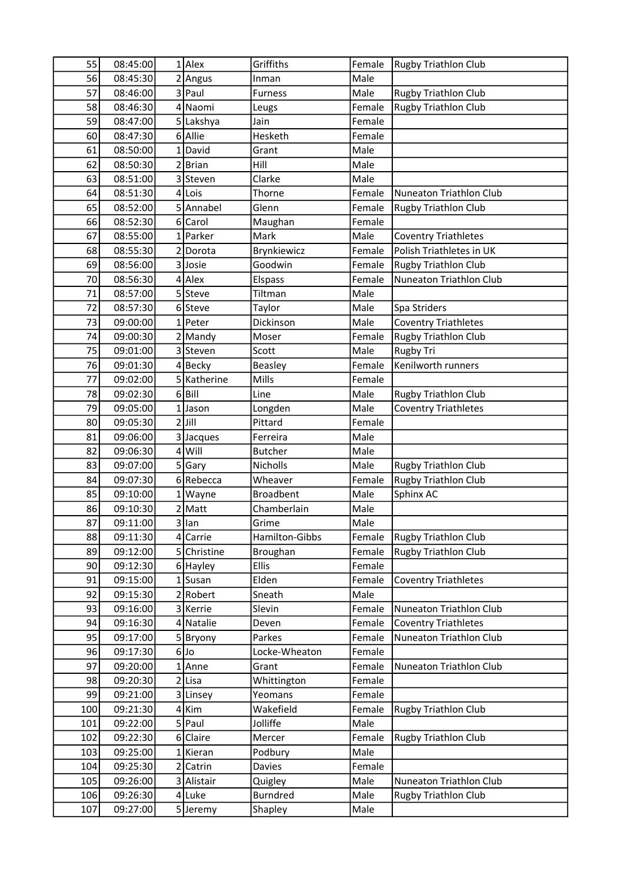| 55              | 08:45:00 | $1$ Alex    | Griffiths               | Female | <b>Rugby Triathlon Club</b>    |
|-----------------|----------|-------------|-------------------------|--------|--------------------------------|
| 56              | 08:45:30 | 2 Angus     | Inman                   | Male   |                                |
| 57              | 08:46:00 | 3 Paul      | <b>Furness</b>          | Male   | Rugby Triathlon Club           |
| 58              | 08:46:30 | 4 Naomi     | Leugs                   | Female | <b>Rugby Triathlon Club</b>    |
| 59              | 08:47:00 | 5 Lakshya   | Jain                    | Female |                                |
| 60              | 08:47:30 | 6 Allie     | Hesketh                 | Female |                                |
| 61              | 08:50:00 | 1 David     | Grant                   | Male   |                                |
| 62              | 08:50:30 | $2$ Brian   | Hill                    | Male   |                                |
| 63              | 08:51:00 | 3 Steven    | Clarke                  | Male   |                                |
| 64              | 08:51:30 | $4$ Lois    | Thorne                  | Female | Nuneaton Triathlon Club        |
| 65              | 08:52:00 | 5 Annabel   | Glenn                   | Female | <b>Rugby Triathlon Club</b>    |
| 66              | 08:52:30 | 6 Carol     | Maughan                 | Female |                                |
| 67              | 08:55:00 | 1 Parker    | Mark                    | Male   | <b>Coventry Triathletes</b>    |
| 68              | 08:55:30 | 2Dorota     | Brynkiewicz             | Female | Polish Triathletes in UK       |
| 69              | 08:56:00 | 3Josie      | Goodwin                 | Female | <b>Rugby Triathlon Club</b>    |
| 70              | 08:56:30 | $4$ Alex    | Elspass                 | Female | <b>Nuneaton Triathlon Club</b> |
| 71              | 08:57:00 | 5Steve      | Tiltman                 | Male   |                                |
| 72              | 08:57:30 | 6Steve      | Taylor                  | Male   | Spa Striders                   |
| 73              | 09:00:00 | 1 Peter     | Dickinson               | Male   | <b>Coventry Triathletes</b>    |
| 74              | 09:00:30 | $2$ Mandy   | Moser                   | Female | <b>Rugby Triathlon Club</b>    |
| 75              | 09:01:00 | 3 Steven    | Scott                   | Male   | Rugby Tri                      |
| 76              | 09:01:30 | 4Becky      | <b>Beasley</b>          | Female | Kenilworth runners             |
| 77              | 09:02:00 | 5 Katherine | Mills                   | Female |                                |
| 78              | 09:02:30 | $6$ Bill    | Line                    | Male   | <b>Rugby Triathlon Club</b>    |
| 79              | 09:05:00 | 1Jason      |                         | Male   | <b>Coventry Triathletes</b>    |
| 80              | 09:05:30 | $2$ Jill    | Longden<br>Pittard      | Female |                                |
| 81              | 09:06:00 | 3 Jacques   | Ferreira                | Male   |                                |
| 82              | 09:06:30 | $4$ Will    | <b>Butcher</b>          | Male   |                                |
| 83              | 09:07:00 | 5 Gary      | Nicholls                | Male   | <b>Rugby Triathlon Club</b>    |
| 84              | 09:07:30 | 6Rebecca    | Wheaver                 | Female | Rugby Triathlon Club           |
| 85              | 09:10:00 | 1 Wayne     | <b>Broadbent</b>        | Male   | Sphinx AC                      |
| 86              | 09:10:30 | 2 Matt      | Chamberlain             | Male   |                                |
| 87              |          |             |                         |        |                                |
|                 | 09:11:00 | 3 lan       | Grime<br>Hamilton-Gibbs | Male   | <b>Rugby Triathlon Club</b>    |
| 88              | 09:11:30 | 4 Carrie    |                         | Female |                                |
| 89              | 09:12:00 | 5 Christine | Broughan                | Female | <b>Rugby Triathlon Club</b>    |
| 90 <sup>°</sup> | 09:12:30 | 6 Hayley    | <b>Ellis</b>            | Female |                                |
| 91              | 09:15:00 | $1$ Susan   | Elden                   | Female | <b>Coventry Triathletes</b>    |
| 92              | 09:15:30 | 2 Robert    | Sneath                  | Male   |                                |
| 93              | 09:16:00 | 3 Kerrie    | Slevin                  | Female | Nuneaton Triathlon Club        |
| 94              | 09:16:30 | 4 Natalie   | Deven                   | Female | <b>Coventry Triathletes</b>    |
| 95              | 09:17:00 | 5Bryony     | Parkes                  | Female | Nuneaton Triathlon Club        |
| 96              | 09:17:30 | $6$ Jo      | Locke-Wheaton           | Female |                                |
| 97              | 09:20:00 | 1 Anne      | Grant                   | Female | Nuneaton Triathlon Club        |
| 98              | 09:20:30 | 2 Lisa      | Whittington             | Female |                                |
| 99              | 09:21:00 | 3 Linsey    | Yeomans                 | Female |                                |
| 100             | 09:21:30 | $4$ Kim     | Wakefield               | Female | Rugby Triathlon Club           |
| 101             | 09:22:00 | 5 Paul      | Jolliffe                | Male   |                                |
| 102             | 09:22:30 | 6 Claire    | Mercer                  | Female | <b>Rugby Triathlon Club</b>    |
| 103             | 09:25:00 | 1 Kieran    | Podbury                 | Male   |                                |
| 104             | 09:25:30 | 2 Catrin    | Davies                  | Female |                                |
| 105             | 09:26:00 | 3 Alistair  | Quigley                 | Male   | Nuneaton Triathlon Club        |
| 106             | 09:26:30 | 4 Luke      | <b>Burndred</b>         | Male   | <b>Rugby Triathlon Club</b>    |
| 107             | 09:27:00 | 5Jeremy     | Shapley                 | Male   |                                |